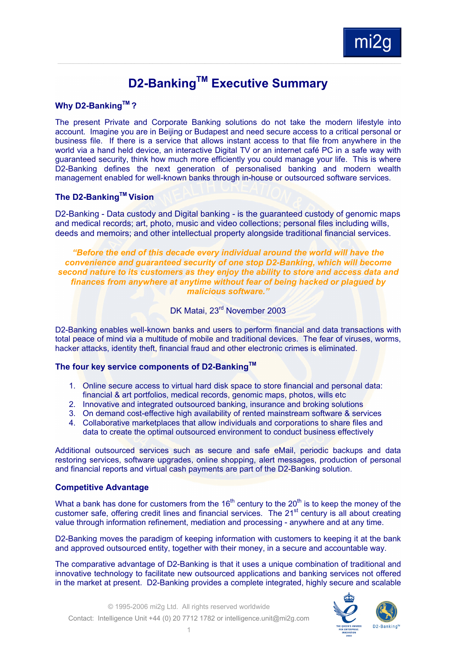

# **D2-Banking™ Executive Summary**

#### **Why D2-BankingTM ?**

The present Private and Corporate Banking solutions do not take the modern lifestyle into account. Imagine you are in Beijing or Budapest and need secure access to a critical personal or business file. If there is a service that allows instant access to that file from anywhere in the world via a hand held device, an interactive Digital TV or an internet café PC in a safe way with guaranteed security, think how much more efficiently you could manage your life. This is where D2-Banking defines the next generation of personalised banking and modern wealth management enabled for well-known banks through in-house or outsourced software services.

# **The D2-BankingTM Vision**

D2-Banking - Data custody and Digital banking - is the guaranteed custody of genomic maps and medical records; art, photo, music and video collections; personal files including wills, deeds and memoirs; and other intellectual property alongside traditional financial services.

*"Before the end of this decade every individual around the world will have the convenience and guaranteed security of one stop D2-Banking, which will become second nature to its customers as they enjoy the ability to store and access data and finances from anywhere at anytime without fear of being hacked or plagued by malicious software."*

# DK Matai, 23<sup>rd</sup> November 2003

D2-Banking enables well-known banks and users to perform financial and data transactions with total peace of mind via a multitude of mobile and traditional devices. The fear of viruses, worms, hacker attacks, identity theft, financial fraud and other electronic crimes is eliminated.

# **The four key service components of D2-BankingTM**

- 1. Online secure access to virtual hard disk space to store financial and personal data: financial & art portfolios, medical records, genomic maps, photos, wills etc
- 2. Innovative and integrated outsourced banking, insurance and broking solutions
- 3. On demand cost-effective high availability of rented mainstream software & services
- 4. Collaborative marketplaces that allow individuals and corporations to share files and data to create the optimal outsourced environment to conduct business effectively

Additional outsourced services such as secure and safe eMail, periodic backups and data restoring services, software upgrades, online shopping, alert messages, production of personal and financial reports and virtual cash payments are part of the D2-Banking solution.

#### **Competitive Advantage**

What a bank has done for customers from the  $16<sup>th</sup>$  century to the  $20<sup>th</sup>$  is to keep the money of the customer safe, offering credit lines and financial services. The 21<sup>st</sup> century is all about creating value through information refinement, mediation and processing - anywhere and at any time.

D2-Banking moves the paradigm of keeping information with customers to keeping it at the bank and approved outsourced entity, together with their money, in a secure and accountable way.

The comparative advantage of D2-Banking is that it uses a unique combination of traditional and innovative technology to facilitate new outsourced applications and banking services not offered in the market at present. D2-Banking provides a complete integrated, highly secure and scalable